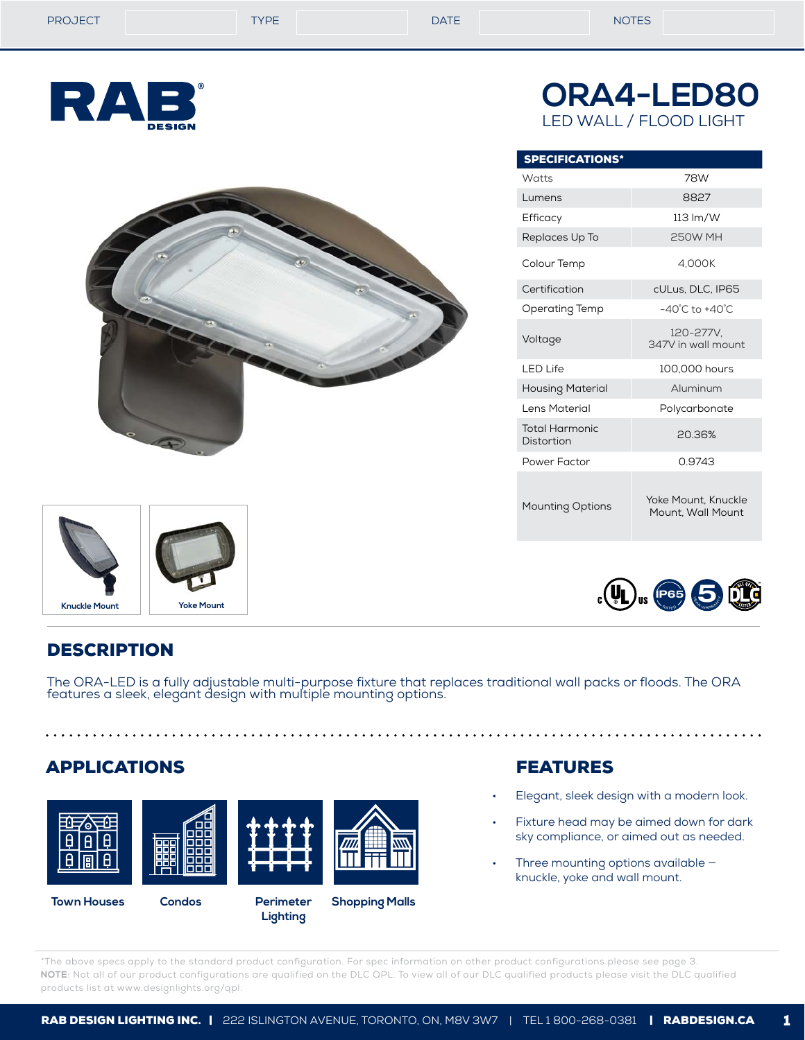**ORA4-LED80** LED WALL / FLOOD LIGHT







| <b>SPECIFICATIONS*</b>       |                                          |  |  |  |
|------------------------------|------------------------------------------|--|--|--|
| Watts                        | 78W                                      |  |  |  |
| Lumens                       | 8827                                     |  |  |  |
| Efficacy                     | $113 \text{ Im}/W$                       |  |  |  |
| Replaces Up To               | <b>250W MH</b>                           |  |  |  |
| Colour Temp                  | 4,000K                                   |  |  |  |
| Certification                | cULus, DLC, IP65                         |  |  |  |
| Operating Temp               | $-40^{\circ}$ C to $+40^{\circ}$ C       |  |  |  |
| Voltage                      | 120-277V.<br>347V in wall mount          |  |  |  |
| I FD Life                    | 100,000 hours                            |  |  |  |
| <b>Housing Material</b>      | Aluminum                                 |  |  |  |
| Lens Material                | Polycarbonate                            |  |  |  |
| Total Harmonic<br>Distortion | 20.36%                                   |  |  |  |
| Power Factor                 | 0.9743                                   |  |  |  |
| <b>Mounting Options</b>      | Yoke Mount, Knuckle<br>Mount. Wall Mount |  |  |  |



# **DESCRIPTION**

The ORA-LED is a fully adjustable multi-purpose fixture that replaces traditional wall packs or floods. The ORA features a sleek, elegant design with multiple mounting options.

# APPLICATIONS



**Lighting**

FEATURES

- Elegant, sleek design with a modern look.
- Fixture head may be aimed down for dark sky compliance, or aimed out as needed.
- Three mounting options available knuckle, yoke and wall mount.

\*The above specs apply to the standard product configuration. For spec information on other product configurations please see page 3. **NOTE**: Not all of our product configurations are qualified on the DLC QPL. To view all of our DLC qualified products please visit the DLC qualified products list at www.designlights.org/qpl.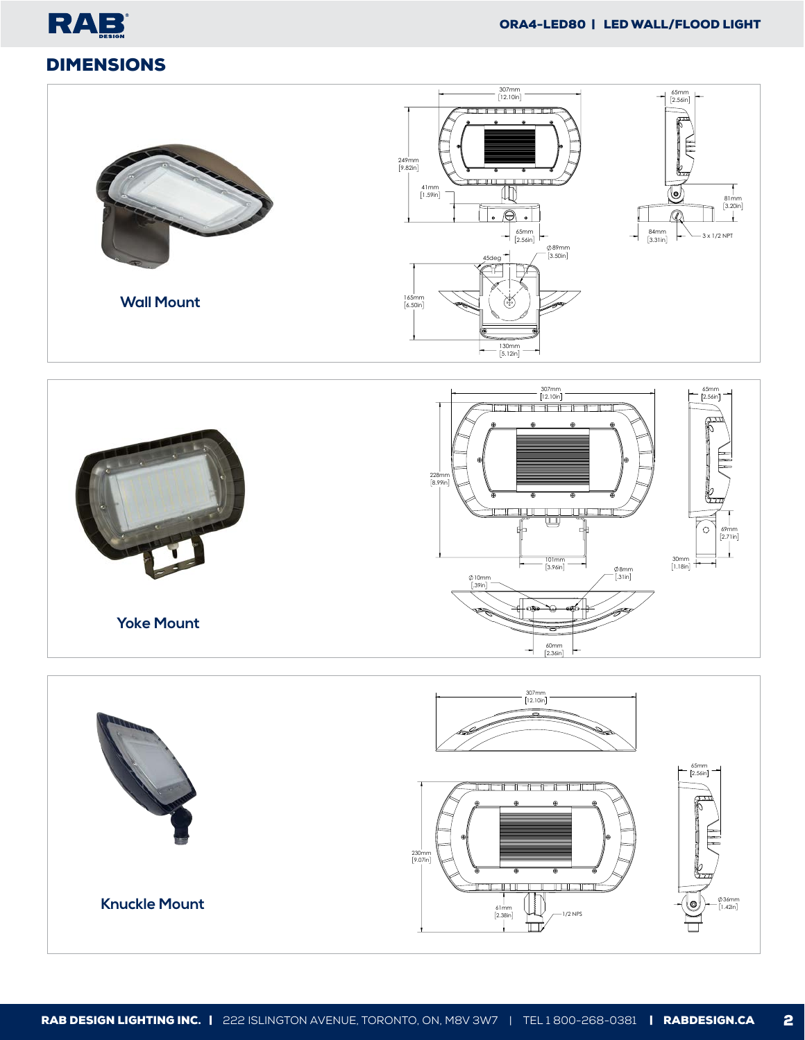







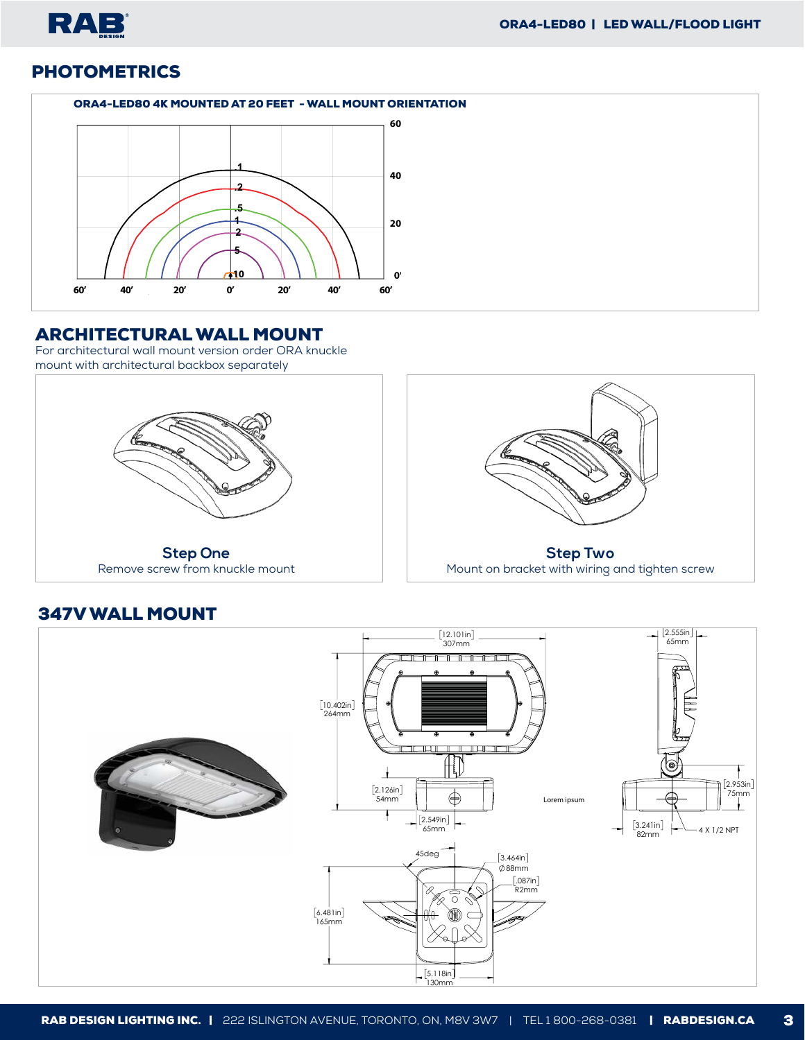

# **PHOTOMETRICS**

### **ORA4-LED80 4K MOUNTED AT 20 FEET - WALL MOUNT ORIENTATION**



### ARCHITECTURAL WALL MOUNT

For architectural wall mount version order ORA knuckle mount with architectural backbox separately



# 347V WALL MOUNT